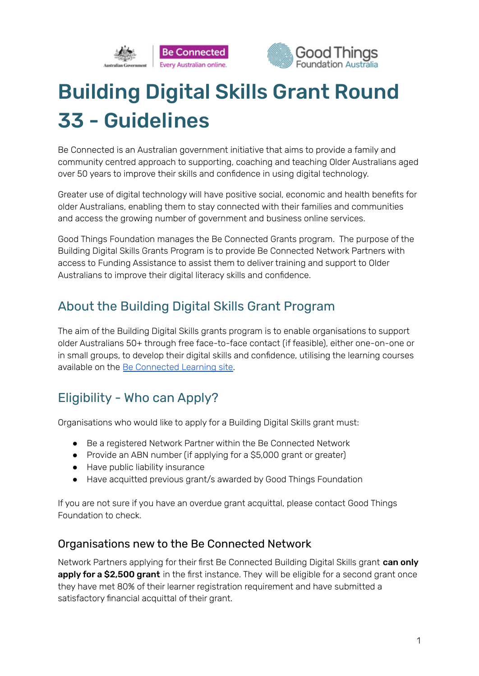



# Building Digital Skills Grant Round 33 - Guidelines

Be Connected is an Australian government initiative that aims to provide a family and community centred approach to supporting, coaching and teaching Older Australians aged over 50 years to improve their skills and confidence in using digital technology.

Greater use of digital technology will have positive social, economic and health benefits for older Australians, enabling them to stay connected with their families and communities and access the growing number of government and business online services.

Good Things Foundation manages the Be Connected Grants program. The purpose of the Building Digital Skills Grants Program is to provide Be Connected Network Partners with access to Funding Assistance to assist them to deliver training and support to Older Australians to improve their digital literacy skills and confidence.

### About the Building Digital Skills Grant Program

The aim of the Building Digital Skills grants program is to enable organisations to support older Australians 50+ through free face-to-face contact (if feasible), either one-on-one or in small groups, to develop their digital skills and confidence, utilising the learning courses available on the Be [Connected](https://beconnected.esafety.gov.au/topic-library) Learning site.

### Eligibility - Who can Apply?

Organisations who would like to apply for a Building Digital Skills grant must:

- Be a registered Network Partner within the Be Connected Network
- Provide an ABN number (if applying for a \$5,000 grant or greater)
- Have public liability insurance
- Have acquitted previous grant/s awarded by Good Things Foundation

If you are not sure if you have an overdue grant acquittal, please contact Good Things Foundation to check.

### Organisations new to the Be Connected Network

Network Partners applying for their first Be Connected Building Digital Skills grant can only apply for a \$2,500 grant in the first instance. They will be eligible for a second grant once they have met 80% of their learner registration requirement and have submitted a satisfactory financial acquittal of their grant.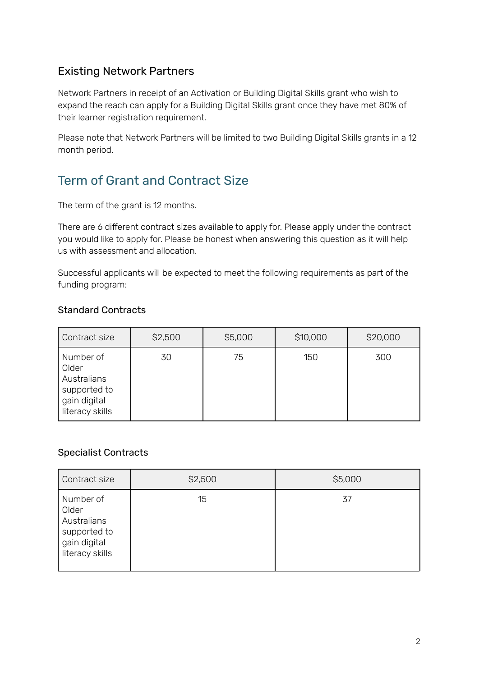#### Existing Network Partners

Network Partners in receipt of an Activation or Building Digital Skills grant who wish to expand the reach can apply for a Building Digital Skills grant once they have met 80% of their learner registration requirement.

Please note that Network Partners will be limited to two Building Digital Skills grants in a 12 month period.

### Term of Grant and Contract Size

The term of the grant is 12 months.

There are 6 different contract sizes available to apply for. Please apply under the contract you would like to apply for. Please be honest when answering this question as it will help us with assessment and allocation.

Successful applicants will be expected to meet the following requirements as part of the funding program:

#### Standard Contracts

| Contract size                                                                        | \$2,500 | \$5,000 | \$10,000 | \$20,000 |
|--------------------------------------------------------------------------------------|---------|---------|----------|----------|
| Number of<br>Older<br>Australians<br>supported to<br>gain digital<br>literacy skills | 30      | 75      | 150      | 300      |

#### Specialist Contracts

| Contract size                                                                        | \$2,500 | \$5,000 |
|--------------------------------------------------------------------------------------|---------|---------|
| Number of<br>Older<br>Australians<br>supported to<br>gain digital<br>literacy skills | 15      | 37      |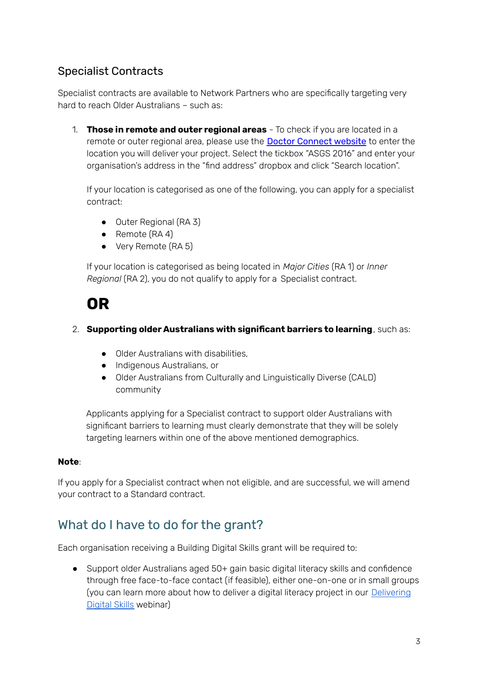### Specialist Contracts

Specialist contracts are available to Network Partners who are specifically targeting very hard to reach Older Australians – such as:

1. **Those in remote and outer regional areas** - To check if you are located in a remote or outer regional area, please use the Doctor [Connect](https://www.health.gov.au/resources/apps-and-tools/health-workforce-locator/health-workforce-locator) website to enter the location you will deliver your project. Select the tickbox "ASGS 2016" and enter your organisation's address in the "find address" dropbox and click "Search location".

If your location is categorised as one of the following, you can apply for a specialist contract:

- Outer Regional (RA 3)
- Remote (RA 4)
- Very Remote (RA 5)

If your location is categorised as being located in *Major Cities* (RA 1) or *Inner Regional* (RA 2), you do not qualify to apply for a Specialist contract.

## **OR**

#### 2. **Supporting older Australians with significant barriers to learning**, such as:

- Older Australians with disabilities,
- Indigenous Australians, or
- Older Australians from Culturally and Linguistically Diverse (CALD) community

Applicants applying for a Specialist contract to support older Australians with significant barriers to learning must clearly demonstrate that they will be solely targeting learners within one of the above mentioned demographics.

#### **Note**:

If you apply for a Specialist contract when not eligible, and are successful, we will amend your contract to a Standard contract.

### What do I have to do for the grant?

Each organisation receiving a Building Digital Skills grant will be required to:

● Support older Australians aged 50+ gain basic digital literacy skills and confidence through free face-to-face contact (if feasible), either one-on-one or in small groups (you can learn more about how to deliver a digital literacy project in our [Delivering](https://www.beconnectednetwork.org.au/events-webinars/webinars) [Digital](https://www.beconnectednetwork.org.au/events-webinars/webinars) Skills webinar)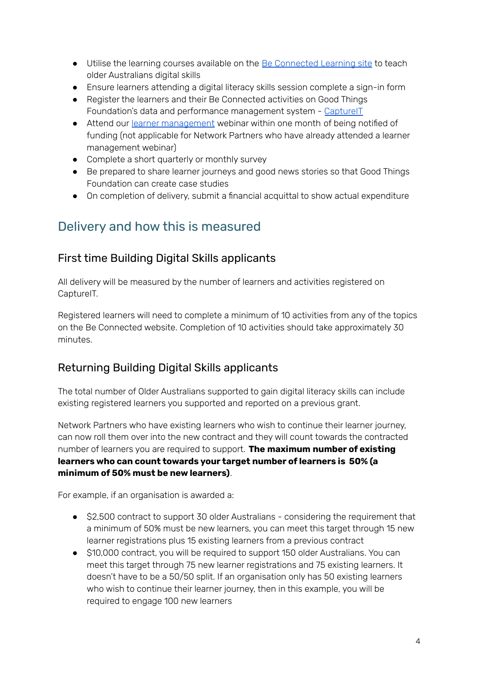- Utilise the learning courses available on the **Be [Connected](https://beconnected.esafety.gov.au/topic-library) Learning site** to teach older Australians digital skills
- Ensure learners attending a digital literacy skills session complete a sign-in form
- Register the learners and their Be Connected activities on Good Things Foundation's data and performance management system - [CaptureIT](https://www.beconnectednetwork.org.au/sites/default/files/registering_learners_with_captureit.pdf)
- Attend our learner [management](https://www.beconnectednetwork.org.au/events-webinars/webinars) webinar within one month of being notified of funding (not applicable for Network Partners who have already attended a learner management webinar)
- Complete a short quarterly or monthly survey
- Be prepared to share learner journeys and good news stories so that Good Things Foundation can create case studies
- On completion of delivery, submit a financial acquittal to show actual expenditure

### Delivery and how this is measured

#### First time Building Digital Skills applicants

All delivery will be measured by the number of learners and activities registered on CaptureIT.

Registered learners will need to complete a minimum of 10 activities from any of the topics on the Be Connected website. Completion of 10 activities should take approximately 30 minutes.

### Returning Building Digital Skills applicants

The total number of Older Australians supported to gain digital literacy skills can include existing registered learners you supported and reported on a previous grant.

Network Partners who have existing learners who wish to continue their learner journey, can now roll them over into the new contract and they will count towards the contracted number of learners you are required to support. **The maximum number of existing learners who can count towards your target number of learners is 50% (a minimum of 50% must be new learners)**.

For example, if an organisation is awarded a:

- \$2,500 contract to support 30 older Australians considering the requirement that a minimum of 50% must be new learners, you can meet this target through 15 new learner registrations plus 15 existing learners from a previous contract
- \$10,000 contract, you will be required to support 150 older Australians. You can meet this target through 75 new learner registrations and 75 existing learners. It doesn't have to be a 50/50 split. If an organisation only has 50 existing learners who wish to continue their learner journey, then in this example, you will be required to engage 100 new learners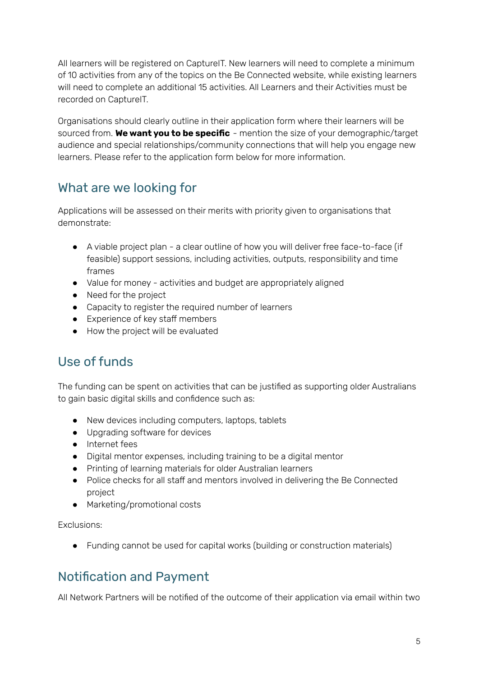All learners will be registered on CaptureIT. New learners will need to complete a minimum of 10 activities from any of the topics on the Be Connected website, while existing learners will need to complete an additional 15 activities. All Learners and their Activities must be recorded on CaptureIT.

Organisations should clearly outline in their application form where their learners will be sourced from. **We want you to be specific** - mention the size of your demographic/target audience and special relationships/community connections that will help you engage new learners. Please refer to the application form below for more information.

### What are we looking for

Applications will be assessed on their merits with priority given to organisations that demonstrate:

- A viable project plan a clear outline of how you will deliver free face-to-face (if feasible) support sessions, including activities, outputs, responsibility and time frames
- Value for money activities and budget are appropriately aligned
- Need for the project
- Capacity to register the required number of learners
- Experience of key staff members
- How the project will be evaluated

### Use of funds

The funding can be spent on activities that can be justified as supporting older Australians to gain basic digital skills and confidence such as:

- New devices including computers, laptops, tablets
- Upgrading software for devices
- Internet fees
- Digital mentor expenses, including training to be a digital mentor
- Printing of learning materials for older Australian learners
- Police checks for all staff and mentors involved in delivering the Be Connected project
- Marketing/promotional costs

Exclusions:

● Funding cannot be used for capital works (building or construction materials)

### Notification and Payment

All Network Partners will be notified of the outcome of their application via email within two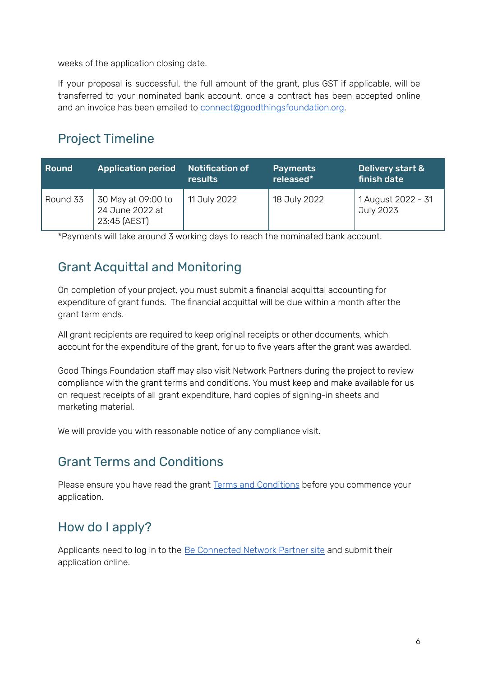weeks of the application closing date.

If your proposal is successful, the full amount of the grant, plus GST if applicable, will be transferred to your nominated bank account, once a contract has been accepted online and an invoice has been emailed to [connect@goodthingsfoundation.org](mailto:connect@goodthingsfoundation.org).

### Project Timeline

| Round    | <b>Application period</b>                             | <b>Notification of</b><br>results | <b>Payments</b><br>released* | Delivery start &<br>  finish date <sup> </sup> |
|----------|-------------------------------------------------------|-----------------------------------|------------------------------|------------------------------------------------|
| Round 33 | 30 May at 09:00 to<br>24 June 2022 at<br>23:45 (AEST) | 11 July 2022                      | 18 July 2022                 | 1 August 2022 - 31<br>July 2023                |

\*Payments will take around 3 working days to reach the nominated bank account.

### Grant Acquittal and Monitoring

On completion of your project, you must submit a financial acquittal accounting for expenditure of grant funds. The financial acquittal will be due within a month after the grant term ends.

All grant recipients are required to keep original receipts or other documents, which account for the expenditure of the grant, for up to five years after the grant was awarded.

Good Things Foundation staff may also visit Network Partners during the project to review compliance with the grant terms and conditions. You must keep and make available for us on request receipts of all grant expenditure, hard copies of signing-in sheets and marketing material.

We will provide you with reasonable notice of any compliance visit.

### Grant Terms and Conditions

Please ensure you have read the grant Terms and [Conditions](https://www.beconnectednetwork.org.au/sites/default/files/2022-05-23_round_33_-_be_connected_building_digital_skills_2021-24_terms_and_conditions.pdf) before you commence your application.

### How do I apply?

Applicants need to log in to the Be [Connected](https://www.beconnectednetwork.org.au/be-connected-network/apply-for-a-grant) Network Partner site and submit their application online.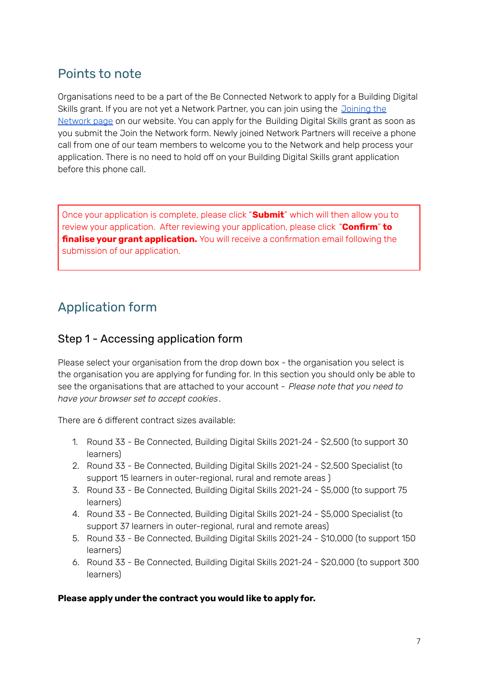### Points to note

Organisations need to be a part of the Be Connected Network to apply for a Building Digital Skills grant. If you are not yet a Network Partner, you can join using the [Joining](https://www.beconnectednetwork.org.au/join-the-network-step-1) the [Network](https://www.beconnectednetwork.org.au/join-the-network-step-1) page on our website. You can apply for the Building Digital Skills grant as soon as you submit the Join the Network form. Newly joined Network Partners will receive a phone call from one of our team members to welcome you to the Network and help process your application. There is no need to hold off on your Building Digital Skills grant application before this phone call.

Once your application is complete, please click "**Submit**" which will then allow you to review your application. After reviewing your application, please click "**Confirm**" **to finalise your grant application.** You will receive a confirmation email following the submission of our application.

### Application form

#### Step 1 - Accessing application form

Please select your organisation from the drop down box - the organisation you select is the organisation you are applying for funding for. In this section you should only be able to see the organisations that are attached to your account - *Please note that you need to have your browser set to accept cookies*.

There are 6 different contract sizes available:

- 1. Round 33 Be Connected, Building Digital Skills 2021-24 \$2,500 (to support 30 learners)
- 2. Round 33 Be Connected, Building Digital Skills 2021-24 \$2,500 Specialist (to support 15 learners in outer-regional, rural and remote areas )
- 3. Round 33 Be Connected, Building Digital Skills 2021-24 \$5,000 (to support 75 learners)
- 4. Round 33 Be Connected, Building Digital Skills 2021-24 \$5,000 Specialist (to support 37 learners in outer-regional, rural and remote areas)
- 5. Round 33 Be Connected, Building Digital Skills 2021-24 \$10,000 (to support 150 learners)
- 6. Round 33 Be Connected, Building Digital Skills 2021-24 \$20,000 (to support 300 learners)

#### **Please apply under the contract you would like to apply for.**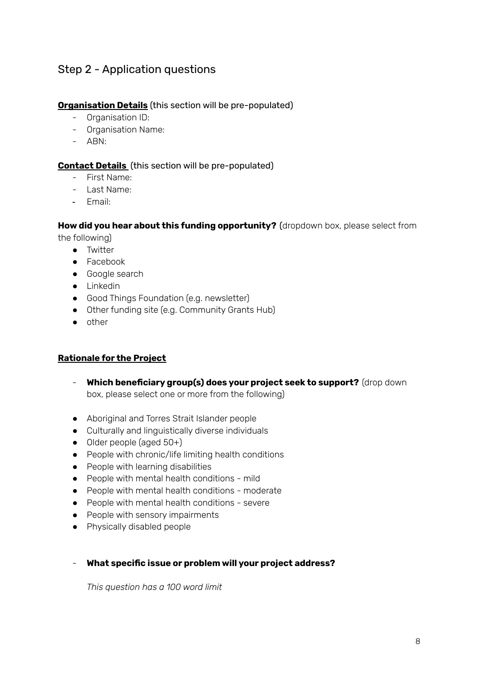#### Step 2 - Application questions

#### **Organisation Details** (this section will be pre-populated)

- Organisation ID:
- Organisation Name:
- ABN:

#### **Contact Details** (this section will be pre-populated)

- First Name:
- Last Name:
- Email:

#### **How did you hear about this funding opportunity?** (dropdown box, please select from

the following)

- Twitter
- Facebook
- Google search
- Linkedin
- Good Things Foundation (e.g. newsletter)
- Other funding site (e.g. Community Grants Hub)
- other

#### **Rationale for the Project**

- **Which beneficiary group(s) does your project seek to support?** (drop down box, please select one or more from the following)
- Aboriginal and Torres Strait Islander people
- Culturally and linguistically diverse individuals
- Older people (aged 50+)
- People with chronic/life limiting health conditions
- People with learning disabilities
- People with mental health conditions mild
- People with mental health conditions moderate
- People with mental health conditions severe
- People with sensory impairments
- Physically disabled people
- **What specific issue or problem will your project address?**

*This question has a 100 word limit*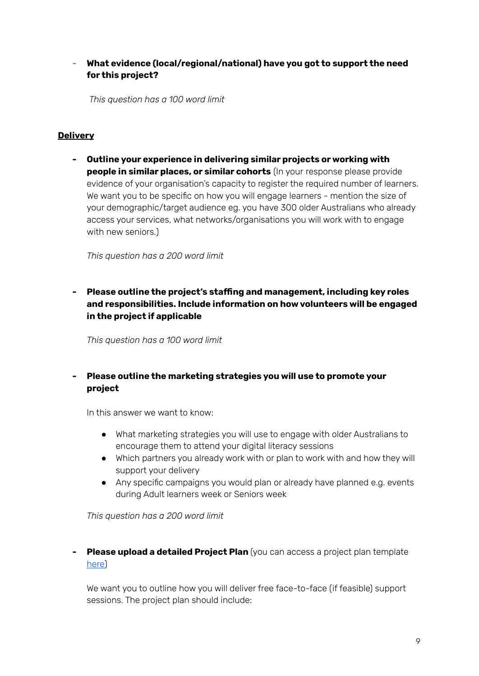#### - **What evidence (local/regional/national) have you got to support the need for this project?**

*This question has a 100 word limit*

#### **Delivery**

**- Outline your experience in delivering similar projects or working with people in similar places, or similar cohorts** (In your response please provide evidence of your organisation's capacity to register the required number of learners. We want you to be specific on how you will engage learners - mention the size of your demographic/target audience eg. you have 300 older Australians who already access your services, what networks/organisations you will work with to engage with new seniors.)

*This question has a 200 word limit*

#### **- Please outline the project's staffing and management, including key roles and responsibilities. Include information on how volunteers will be engaged in the project if applicable**

*This question has a 100 word limit*

#### **- Please outline the marketing strategies you will use to promote your project**

In this answer we want to know:

- What marketing strategies you will use to engage with older Australians to encourage them to attend your digital literacy sessions
- Which partners you already work with or plan to work with and how they will support your delivery
- Any specific campaigns you would plan or already have planned e.g. events during Adult learners week or Seniors week

*This question has a 200 word limit*

**- Please upload a detailed Project Plan** (you can access a project plan template [here](https://www.beconnectednetwork.org.au/sites/default/files/2021-06-24_project_plan_template_-_building_digital_skills.docx))

We want you to outline how you will deliver free face-to-face (if feasible) support sessions. The project plan should include: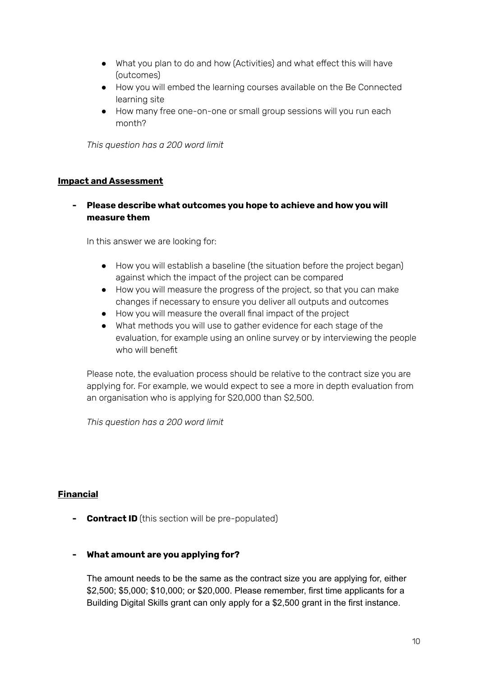- What you plan to do and how (Activities) and what effect this will have (outcomes)
- How you will embed the learning courses available on the Be Connected learning site
- How many free one-on-one or small group sessions will you run each month?

*This question has a 200 word limit*

#### **Impact and Assessment**

#### **- Please describe what outcomes you hope to achieve and how you will measure them**

In this answer we are looking for:

- How you will establish a baseline (the situation before the project began) against which the impact of the project can be compared
- How you will measure the progress of the project, so that you can make changes if necessary to ensure you deliver all outputs and outcomes
- How you will measure the overall final impact of the project
- What methods you will use to gather evidence for each stage of the evaluation, for example using an online survey or by interviewing the people who will benefit

Please note, the evaluation process should be relative to the contract size you are applying for. For example, we would expect to see a more in depth evaluation from an organisation who is applying for \$20,000 than \$2,500.

*This question has a 200 word limit*

#### **Financial**

**- Contract ID** (this section will be pre-populated)

#### **- What amount are you applying for?**

The amount needs to be the same as the contract size you are applying for, either \$2,500; \$5,000; \$10,000; or \$20,000. Please remember, first time applicants for a Building Digital Skills grant can only apply for a \$2,500 grant in the first instance.